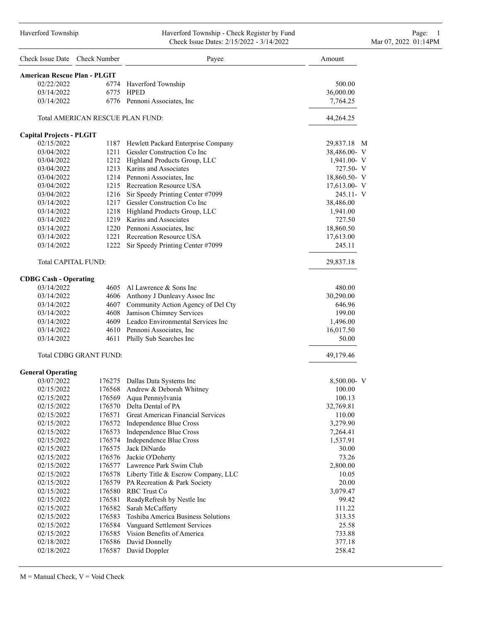#### Haverford Township Haverford Township - Check Register by Fund Page: 1 Check Issue Dates: 2/15/2022 - 3/14/2022 Mar 07, 2022 01:14PM

|                      | Page: |  |
|----------------------|-------|--|
| Mar 07, 2022 01:14PM |       |  |

| Check Issue Date Check Number       |                                  | Payee                                                                    | Amount           |
|-------------------------------------|----------------------------------|--------------------------------------------------------------------------|------------------|
| <b>American Rescue Plan - PLGIT</b> |                                  |                                                                          |                  |
| 02/22/2022                          |                                  | 6774 Haverford Township                                                  | 500.00           |
| 03/14/2022                          | 6775                             | <b>HPED</b>                                                              | 36,000.00        |
| 03/14/2022                          |                                  | 6776 Pennoni Associates, Inc.                                            | 7,764.25         |
|                                     | Total AMERICAN RESCUE PLAN FUND: |                                                                          | 44,264.25        |
| <b>Capital Projects - PLGIT</b>     |                                  |                                                                          |                  |
| 02/15/2022                          |                                  | 1187 Hewlett Packard Enterprise Company                                  | 29,837.18 M      |
| 03/04/2022                          |                                  | 1211 Gessler Construction Co Inc                                         | 38,486.00- V     |
| 03/04/2022                          |                                  | 1212 Highland Products Group, LLC                                        | $1,941.00 - V$   |
| 03/04/2022                          |                                  | 1213 Karins and Associates                                               | 727.50- V        |
| 03/04/2022                          |                                  | 1214 Pennoni Associates, Inc.                                            | 18,860.50- V     |
| 03/04/2022                          |                                  | 1215 Recreation Resource USA                                             | $17,613.00 - V$  |
| 03/04/2022                          |                                  | 1216 Sir Speedy Printing Center #7099                                    | 245.11- V        |
| 03/14/2022                          |                                  | 1217 Gessler Construction Co Inc                                         | 38,486.00        |
| 03/14/2022                          |                                  | 1218 Highland Products Group, LLC                                        | 1,941.00         |
| 03/14/2022                          |                                  | 1219 Karins and Associates                                               | 727.50           |
| 03/14/2022                          |                                  | 1220 Pennoni Associates, Inc.                                            | 18,860.50        |
| 03/14/2022                          |                                  | 1221 Recreation Resource USA                                             | 17,613.00        |
| 03/14/2022                          |                                  | 1222 Sir Speedy Printing Center #7099                                    | 245.11           |
| <b>Total CAPITAL FUND:</b>          |                                  |                                                                          | 29,837.18        |
| <b>CDBG Cash - Operating</b>        |                                  |                                                                          |                  |
| 03/14/2022                          |                                  | 4605 Al Lawrence & Sons Inc                                              | 480.00           |
| 03/14/2022                          |                                  | 4606 Anthony J Dunleavy Assoc Inc                                        | 30,290.00        |
| 03/14/2022                          |                                  | 4607 Community Action Agency of Del Cty                                  | 646.96           |
| 03/14/2022                          |                                  | 4608 Jamison Chimney Services                                            | 199.00           |
| 03/14/2022                          |                                  | 4609 Leadco Environmental Services Inc                                   | 1,496.00         |
| 03/14/2022                          |                                  | 4610 Pennoni Associates, Inc.                                            | 16,017.50        |
| 03/14/2022                          |                                  | 4611 Philly Sub Searches Inc                                             | 50.00            |
|                                     | <b>Total CDBG GRANT FUND:</b>    |                                                                          | 49,179.46        |
| <b>General Operating</b>            |                                  |                                                                          |                  |
| 03/07/2022                          |                                  | 176275 Dallas Data Systems Inc                                           | 8,500.00- V      |
| 02/15/2022                          |                                  | 176568 Andrew & Deborah Whitney                                          | 100.00           |
| 02/15/2022                          | 176569                           | Aqua Pennsylvania                                                        | 100.13           |
| 02/15/2022                          |                                  | 176570 Delta Dental of PA                                                | 32,769.81        |
| 02/15/2022                          |                                  | 176571 Great American Financial Services                                 | 110.00           |
| 02/15/2022                          |                                  | 176572 Independence Blue Cross                                           | 3,279.90         |
| 02/15/2022                          |                                  | 176573 Independence Blue Cross                                           | 7,264.41         |
| 02/15/2022                          |                                  | 176574 Independence Blue Cross                                           | 1,537.91         |
| 02/15/2022                          |                                  | 176575 Jack DiNardo                                                      | 30.00            |
| 02/15/2022                          |                                  | 176576 Jackie O'Doherty                                                  | 73.26            |
| 02/15/2022                          |                                  | 176577 Lawrence Park Swim Club                                           | 2,800.00         |
| 02/15/2022                          |                                  | 176578 Liberty Title & Escrow Company, LLC                               | 10.05            |
| 02/15/2022                          |                                  | 176579 PA Recreation & Park Society                                      | 20.00            |
| 02/15/2022                          |                                  | 176580 RBC Trust Co                                                      | 3,079.47         |
| 02/15/2022                          |                                  | 176581 ReadyRefresh by Nestle Inc                                        | 99.42            |
| 02/15/2022                          |                                  | 176582 Sarah McCafferty                                                  | 111.22           |
| 02/15/2022                          | 176583                           | Toshiba America Business Solutions                                       | 313.35           |
| 02/15/2022                          |                                  | 176584 Vanguard Settlement Services<br>176585 Vision Benefits of America | 25.58            |
| 02/15/2022<br>02/18/2022            |                                  | 176586 David Donnelly                                                    | 733.88<br>377.18 |
| 02/18/2022                          | 176587                           | David Doppler                                                            | 258.42           |
|                                     |                                  |                                                                          |                  |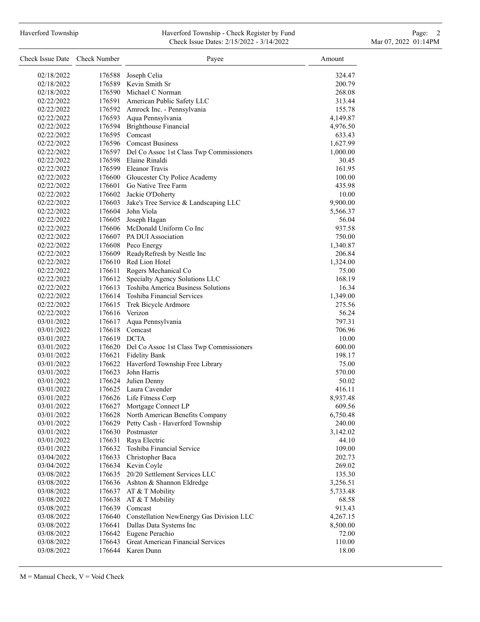# Haverford Township **Haverford Township - Check Register by Fund** Page: 2 Check Issue Dates: 2/15/2022 - 3/14/2022 Mar 07, 2022 01:14PM

| Check Issue Date Check Number |                  | Payee                                           | Amount          |
|-------------------------------|------------------|-------------------------------------------------|-----------------|
| 02/18/2022                    |                  | 176588 Joseph Celia                             | 324.47          |
| 02/18/2022                    |                  | 176589 Kevin Smith Sr                           | 200.79          |
| 02/18/2022                    |                  | 176590 Michael C Norman                         | 268.08          |
| 02/22/2022                    |                  | 176591 American Public Safety LLC               | 313.44          |
| 02/22/2022                    |                  | 176592 Amrock Inc. - Pennsylvania               | 155.78          |
| 02/22/2022                    |                  | 176593 Aqua Pennsylvania                        | 4,149.87        |
| 02/22/2022                    |                  | 176594 Brighthouse Financial                    | 4,976.50        |
| 02/22/2022                    |                  | 176595 Comcast                                  | 633.43          |
| 02/22/2022                    |                  | 176596 Comcast Business                         | 1,627.99        |
| 02/22/2022                    |                  | 176597 Del Co Assoc 1st Class Twp Commissioners | 1,000.00        |
| 02/22/2022                    |                  | 176598 Elaine Rinaldi                           | 30.45           |
| 02/22/2022                    |                  | 176599 Eleanor Travis                           | 161.95          |
| 02/22/2022                    |                  | 176600 Gloucester Cty Police Academy            | 100.00          |
| 02/22/2022                    |                  | 176601 Go Native Tree Farm                      | 435.98          |
| 02/22/2022                    |                  | 176602 Jackie O'Doherty                         | 10.00           |
| 02/22/2022                    |                  | 176603 Jake's Tree Service & Landscaping LLC    | 9,900.00        |
| 02/22/2022                    |                  | 176604 John Viola                               | 5,566.37        |
| 02/22/2022                    |                  | 176605 Joseph Hagan                             | 56.04           |
| 02/22/2022                    |                  | 176606 McDonald Uniform Co Inc                  | 937.58          |
| 02/22/2022                    |                  | 176607 PA DUI Association                       | 750.00          |
| 02/22/2022                    |                  | 176608 Peco Energy                              | 1,340.87        |
| 02/22/2022                    |                  | 176609 ReadyRefresh by Nestle Inc               | 206.84          |
| 02/22/2022                    |                  | 176610 Red Lion Hotel                           | 1,324.00        |
| 02/22/2022                    |                  | 176611 Rogers Mechanical Co                     | 75.00           |
| 02/22/2022                    |                  | 176612 Specialty Agency Solutions LLC           | 168.19          |
| 02/22/2022                    |                  | 176613 Toshiba America Business Solutions       | 16.34           |
| 02/22/2022                    |                  | 176614 Toshiba Financial Services               | 1,349.00        |
| 02/22/2022                    |                  | 176615 Trek Bicycle Ardmore                     | 275.56          |
| 02/22/2022                    |                  | 176616 Verizon                                  | 56.24           |
| 03/01/2022                    |                  | 176617 Aqua Pennsylvania                        | 797.31          |
| 03/01/2022                    |                  | 176618 Comcast                                  | 706.96          |
| 03/01/2022                    | 176619 DCTA      |                                                 | 10.00           |
| 03/01/2022                    |                  | 176620 Del Co Assoc 1st Class Twp Commissioners | 600.00          |
| 03/01/2022                    |                  | 176621 Fidelity Bank                            | 198.17          |
| 03/01/2022                    |                  | 176622 Haverford Township Free Library          | 75.00           |
| 03/01/2022                    |                  | 176623 John Harris                              | 570.00          |
| 03/01/2022                    |                  | 176624 Julien Denny                             | 50.02           |
| 03/01/2022                    |                  | 176625 Laura Cavender                           | 416.11          |
| 03/01/2022                    |                  | 176626 Life Fitness Corp                        | 8,937.48        |
| 03/01/2022                    | 176627           | Mortgage Connect LP                             | 609.56          |
| 03/01/2022                    |                  | 176628 North American Benefits Company          | 6,750.48        |
| 03/01/2022                    |                  | 176629 Petty Cash - Haverford Township          | 240.00          |
| 03/01/2022                    |                  | 176630 Postmaster<br>Raya Electric              | 3,142.02        |
| 03/01/2022<br>03/01/2022      | 176631<br>176632 | Toshiba Financial Service                       | 44.10<br>109.00 |
| 03/04/2022                    |                  | 176633 Christopher Baca                         | 202.73          |
| 03/04/2022                    |                  | 176634 Kevin Coyle                              | 269.02          |
| 03/08/2022                    | 176635           | 20/20 Settlement Services LLC                   | 135.30          |
| 03/08/2022                    | 176636           | Ashton & Shannon Eldredge                       | 3,256.51        |
| 03/08/2022                    |                  | 176637 AT & T Mobility                          | 5,733.48        |
| 03/08/2022                    | 176638           | AT & T Mobility                                 | 68.58           |
| 03/08/2022                    |                  | 176639 Comcast                                  | 913.43          |
| 03/08/2022                    |                  | 176640 Constellation NewEnergy Gas Division LLC | 4,267.15        |
| 03/08/2022                    |                  | 176641 Dallas Data Systems Inc                  | 8,500.00        |
| 03/08/2022                    |                  | 176642 Eugene Perachio                          | 72.00           |
| 03/08/2022                    | 176643           | <b>Great American Financial Services</b>        | 110.00          |
| 03/08/2022                    |                  | 176644 Karen Dunn                               | 18.00           |
|                               |                  |                                                 |                 |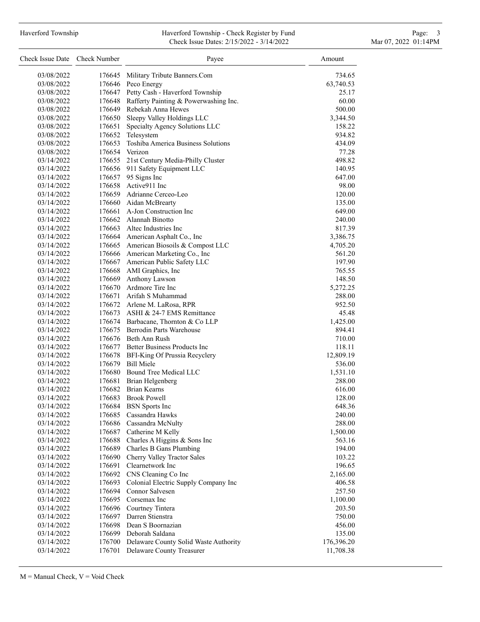### Haverford Township **Haverford Township - Check Register by Fund** Page: 3 and Page: 3 and Page: 3 and Page: 3 and Page: 3 and Page: 3 and Page: 3 and Page: 3 and Page: 3 and Page: 3 and Page: 3 and Page: 3 and Page: 3 and P Check Issue Dates: 2/15/2022 - 3/14/2022 Mar 07, 2022 01:14PM

| Check Issue Date Check Number |        | Payee                                        | Amount           |
|-------------------------------|--------|----------------------------------------------|------------------|
| 03/08/2022                    | 176645 | Military Tribute Banners.Com                 | 734.65           |
| 03/08/2022                    |        | 176646 Peco Energy                           | 63,740.53        |
| 03/08/2022                    |        | 176647 Petty Cash - Haverford Township       | 25.17            |
| 03/08/2022                    |        | 176648 Rafferty Painting & Powerwashing Inc. | 60.00            |
| 03/08/2022                    |        | 176649 Rebekah Anna Hewes                    | 500.00           |
| 03/08/2022                    |        | 176650 Sleepy Valley Holdings LLC            | 3,344.50         |
| 03/08/2022                    |        | 176651 Specialty Agency Solutions LLC        | 158.22           |
| 03/08/2022                    |        | 176652 Telesystem                            | 934.82           |
| 03/08/2022                    | 176653 | Toshiba America Business Solutions           | 434.09           |
| 03/08/2022                    | 176654 | Verizon                                      | 77.28            |
| 03/14/2022                    | 176655 | 21st Century Media-Philly Cluster            |                  |
|                               |        |                                              | 498.82           |
| 03/14/2022<br>03/14/2022      |        | 176656 911 Safety Equipment LLC              | 140.95<br>647.00 |
| 03/14/2022                    |        | 176657 95 Signs Inc<br>176658 Active911 Inc  | 98.00            |
|                               |        | 176659 Adrianne Cerceo-Leo                   |                  |
| 03/14/2022                    |        |                                              | 120.00           |
| 03/14/2022                    |        | 176660 Aidan McBrearty                       | 135.00           |
| 03/14/2022                    |        | 176661 A-Jon Construction Inc                | 649.00           |
| 03/14/2022                    |        | 176662 Alannah Binotto                       | 240.00           |
| 03/14/2022                    |        | 176663 Altec Industries Inc                  | 817.39           |
| 03/14/2022                    |        | 176664 American Asphalt Co., Inc             | 3,386.75         |
| 03/14/2022                    |        | 176665 American Biosoils & Compost LLC       | 4,705.20         |
| 03/14/2022                    |        | 176666 American Marketing Co., Inc           | 561.20           |
| 03/14/2022                    |        | 176667 American Public Safety LLC            | 197.90           |
| 03/14/2022                    |        | 176668 AMI Graphics, Inc                     | 765.55           |
| 03/14/2022                    |        | 176669 Anthony Lawson                        | 148.50           |
| 03/14/2022                    |        | 176670 Ardmore Tire Inc                      | 5,272.25         |
| 03/14/2022                    |        | 176671 Arifah S Muhammad                     | 288.00           |
| 03/14/2022                    |        | 176672 Arlene M. LaRosa, RPR                 | 952.50           |
| 03/14/2022                    |        | 176673 ASHI & 24-7 EMS Remittance            | 45.48            |
| 03/14/2022                    |        | 176674 Barbacane, Thornton & Co LLP          | 1,425.00         |
| 03/14/2022                    |        | 176675 Berrodin Parts Warehouse              | 894.41           |
| 03/14/2022                    |        | 176676 Beth Ann Rush                         | 710.00           |
| 03/14/2022                    |        | 176677 Better Business Products Inc          | 118.11           |
| 03/14/2022                    |        | 176678 BFI-King Of Prussia Recyclery         | 12,809.19        |
| 03/14/2022                    |        | 176679 Bill Miele                            | 536.00           |
| 03/14/2022                    |        | 176680 Bound Tree Medical LLC                | 1,531.10         |
| 03/14/2022                    |        | 176681 Brian Helgenberg                      | 288.00           |
| 03/14/2022                    |        | 176682 Brian Kearns                          | 616.00           |
| 03/14/2022                    |        | 176683 Brook Powell                          | 128.00           |
| 03/14/2022                    | 176684 | <b>BSN</b> Sports Inc                        | 648.36           |
| 03/14/2022                    | 176685 | Cassandra Hawks                              | 240.00           |
| 03/14/2022                    |        | 176686 Cassandra McNulty                     | 288.00           |
| 03/14/2022                    |        | 176687 Catherine M Kelly                     | 1,500.00         |
| 03/14/2022                    | 176688 | Charles A Higgins & Sons Inc                 | 563.16           |
| 03/14/2022                    | 176689 | Charles B Gans Plumbing                      | 194.00           |
| 03/14/2022                    | 176690 | Cherry Valley Tractor Sales                  | 103.22           |
| 03/14/2022                    |        | 176691 Clearnetwork Inc                      | 196.65           |
| 03/14/2022                    |        | 176692 CNS Cleaning Co Inc                   | 2,165.00         |
| 03/14/2022                    | 176693 | Colonial Electric Supply Company Inc         | 406.58           |
| 03/14/2022                    | 176694 | Connor Salvesen                              | 257.50           |
| 03/14/2022                    | 176695 | Corsemax Inc                                 | 1,100.00         |
| 03/14/2022                    |        | 176696 Courtney Tintera                      | 203.50           |
| 03/14/2022                    |        | 176697 Darren Stienstra                      | 750.00           |
| 03/14/2022                    |        | 176698 Dean S Boornazian                     | 456.00           |
| 03/14/2022                    |        | 176699 Deborah Saldana                       | 135.00           |
| 03/14/2022                    | 176700 | Delaware County Solid Waste Authority        | 176,396.20       |
| 03/14/2022                    |        | 176701 Delaware County Treasurer             | 11,708.38        |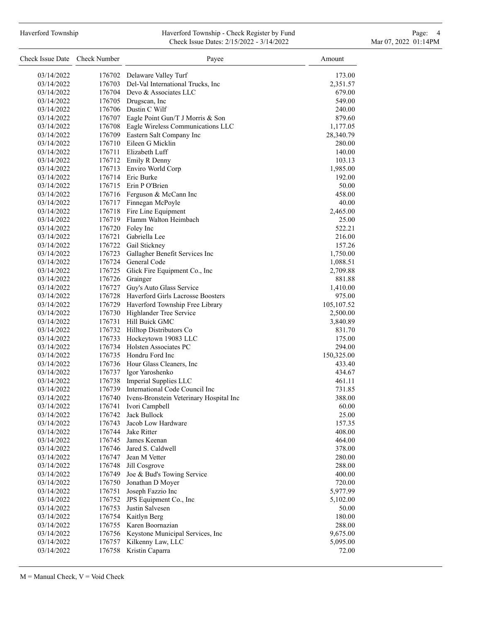#### Haverford Township **Haverford Township - Check Register by Fund** Page: 4 and Page: 4 Check Issue Dates: 2/15/2022 - 3/14/2022 Mar 07, 2022 01:14PM

| Check Issue Date Check Number |        | Payee                                          | Amount      |
|-------------------------------|--------|------------------------------------------------|-------------|
| 03/14/2022                    |        | 176702 Delaware Valley Turf                    | 173.00      |
| 03/14/2022                    |        | 176703 Del-Val International Trucks, Inc       | 2,351.57    |
| 03/14/2022                    |        | 176704 Devo & Associates LLC                   | 679.00      |
| 03/14/2022                    |        | 176705 Drugscan, Inc                           | 549.00      |
| 03/14/2022                    |        | 176706 Dustin C Wilf                           | 240.00      |
| 03/14/2022                    |        | 176707 Eagle Point Gun/T J Morris & Son        | 879.60      |
| 03/14/2022                    |        | 176708 Eagle Wireless Communications LLC       | 1,177.05    |
| 03/14/2022                    |        | 176709 Eastern Salt Company Inc                | 28,340.79   |
| 03/14/2022                    | 176710 | Eileen G Micklin                               | 280.00      |
| 03/14/2022                    |        | 176711 Elizabeth Luff                          | 140.00      |
| 03/14/2022                    |        | 176712 Emily R Denny                           | 103.13      |
| 03/14/2022                    |        | 176713 Enviro World Corp                       | 1,985.00    |
| 03/14/2022                    |        | 176714 Eric Burke                              | 192.00      |
| 03/14/2022                    |        | 176715 Erin P O'Brien                          | 50.00       |
| 03/14/2022                    |        | 176716 Ferguson & McCann Inc                   | 458.00      |
|                               |        |                                                |             |
| 03/14/2022<br>03/14/2022      | 176718 | 176717 Finnegan McPoyle<br>Fire Line Equipment | 40.00       |
|                               |        | Flamm Walton Heimbach                          | 2,465.00    |
| 03/14/2022                    | 176719 |                                                | 25.00       |
| 03/14/2022                    | 176720 | Foley Inc                                      | 522.21      |
| 03/14/2022                    | 176721 | Gabriella Lee                                  | 216.00      |
| 03/14/2022                    |        | 176722 Gail Stickney                           | 157.26      |
| 03/14/2022                    | 176723 | Gallagher Benefit Services Inc                 | 1,750.00    |
| 03/14/2022                    | 176724 | General Code                                   | 1,088.51    |
| 03/14/2022                    | 176725 | Glick Fire Equipment Co., Inc                  | 2,709.88    |
| 03/14/2022                    | 176726 | Grainger                                       | 881.88      |
| 03/14/2022                    |        | 176727 Guy's Auto Glass Service                | 1,410.00    |
| 03/14/2022                    |        | 176728 Haverford Girls Lacrosse Boosters       | 975.00      |
| 03/14/2022                    |        | 176729 Haverford Township Free Library         | 105, 107.52 |
| 03/14/2022                    | 176730 | Highlander Tree Service                        | 2,500.00    |
| 03/14/2022                    | 176731 | Hill Buick GMC                                 | 3,840.89    |
| 03/14/2022                    |        | 176732 Hilltop Distributors Co                 | 831.70      |
| 03/14/2022                    |        | 176733 Hockeytown 19083 LLC                    | 175.00      |
| 03/14/2022                    |        | 176734 Holsten Associates PC                   | 294.00      |
| 03/14/2022                    |        | 176735 Hondru Ford Inc                         | 150,325.00  |
| 03/14/2022                    |        | 176736 Hour Glass Cleaners, Inc                | 433.40      |
| 03/14/2022                    |        | 176737 Igor Yaroshenko                         | 434.67      |
| 03/14/2022                    | 176738 | Imperial Supplies LLC                          | 461.11      |
| 03/14/2022                    | 176739 | International Code Council Inc                 | 731.85      |
| 03/14/2022                    | 176740 | Ivens-Bronstein Veterinary Hospital Inc        | 388.00      |
| 03/14/2022                    | 176741 | Ivori Campbell                                 | 60.00       |
| 03/14/2022                    | 176742 | Jack Bullock                                   | 25.00       |
| 03/14/2022                    | 176743 | Jacob Low Hardware                             | 157.35      |
| 03/14/2022                    | 176744 | Jake Ritter                                    | 408.00      |
| 03/14/2022                    | 176745 | James Keenan                                   | 464.00      |
| 03/14/2022                    | 176746 | Jared S. Caldwell                              | 378.00      |
| 03/14/2022                    | 176747 | Jean M Vetter                                  | 280.00      |
| 03/14/2022                    | 176748 | Jill Cosgrove                                  | 288.00      |
| 03/14/2022                    | 176749 | Joe & Bud's Towing Service                     | 400.00      |
| 03/14/2022                    | 176750 | Jonathan D Moyer                               | 720.00      |
| 03/14/2022                    | 176751 | Joseph Fazzio Inc                              | 5,977.99    |
| 03/14/2022                    | 176752 | JPS Equipment Co., Inc                         | 5,102.00    |
| 03/14/2022                    | 176753 | Justin Salvesen                                | 50.00       |
| 03/14/2022                    | 176754 | Kaitlyn Berg                                   | 180.00      |
| 03/14/2022                    | 176755 | Karen Boornazian                               | 288.00      |
| 03/14/2022                    | 176756 | Keystone Municipal Services, Inc               | 9,675.00    |
| 03/14/2022                    | 176757 | Kilkenny Law, LLC                              | 5,095.00    |
| 03/14/2022                    | 176758 | Kristin Caparra                                | 72.00       |
|                               |        |                                                |             |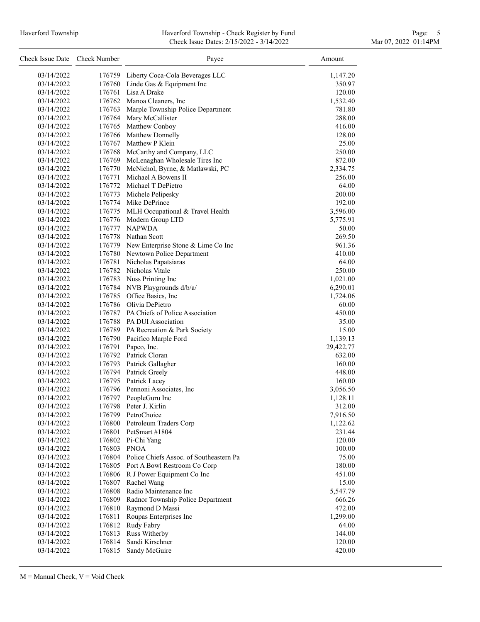## Haverford Township **Haverford Township - Check Register by Fund** Page: 5 and Page: 5 and Page: 5 and Page: 5 and Page: 5 and Page: 5 and Page: 5 and Page: 5 and Page: 5 and Page: 5 and Page: 5 and Page: 5 and Page: 5 and P Check Issue Dates: 2/15/2022 - 3/14/2022 Mar 07, 2022 01:14PM

| Check Issue Date Check Number |                  | Payee                                          | Amount            |
|-------------------------------|------------------|------------------------------------------------|-------------------|
| 03/14/2022                    |                  | 176759 Liberty Coca-Cola Beverages LLC         | 1,147.20          |
| 03/14/2022                    |                  | 176760 Linde Gas & Equipment Inc               | 350.97            |
| 03/14/2022                    |                  | 176761 Lisa A Drake                            | 120.00            |
| 03/14/2022                    |                  | 176762 Manoa Cleaners, Inc.                    | 1,532.40          |
| 03/14/2022                    |                  | 176763 Marple Township Police Department       | 781.80            |
| 03/14/2022                    |                  | 176764 Mary McCallister                        | 288.00            |
| 03/14/2022                    |                  | 176765 Matthew Conboy                          | 416.00            |
| 03/14/2022                    |                  | 176766 Matthew Donnelly                        | 128.00            |
| 03/14/2022                    |                  | 176767 Matthew P Klein                         | 25.00             |
| 03/14/2022                    |                  | 176768 McCarthy and Company, LLC               | 250.00            |
| 03/14/2022                    | 176769           | McLenaghan Wholesale Tires Inc                 | 872.00            |
| 03/14/2022                    |                  | 176770 McNichol, Byrne, & Matlawski, PC        | 2,334.75          |
| 03/14/2022                    | 176771           | Michael A Bowens II                            | 256.00            |
| 03/14/2022                    |                  | 176772 Michael T DePietro                      | 64.00             |
| 03/14/2022                    |                  | 176773 Michele Pelipesky                       | 200.00            |
| 03/14/2022                    |                  | 176774 Mike DePrince                           | 192.00            |
| 03/14/2022                    |                  | 176775 MLH Occupational & Travel Health        | 3,596.00          |
| 03/14/2022                    |                  | 176776 Modern Group LTD                        | 5,775.91          |
| 03/14/2022                    | 176777           | <b>NAPWDA</b>                                  | 50.00             |
| 03/14/2022                    |                  | 176778 Nathan Scott                            | 269.50            |
| 03/14/2022                    |                  | 176779 New Enterprise Stone & Lime Co Inc      | 961.36            |
| 03/14/2022                    |                  | 176780 Newtown Police Department               | 410.00            |
| 03/14/2022                    | 176781           | Nicholas Papatsiaras                           | 64.00             |
| 03/14/2022                    |                  | 176782 Nicholas Vitale                         | 250.00            |
| 03/14/2022                    |                  | 176783 Nuss Printing Inc                       | 1,021.00          |
| 03/14/2022                    |                  | 176784 NVB Playgrounds d/b/a/                  | 6,290.01          |
| 03/14/2022                    |                  | 176785 Office Basics, Inc.                     | 1,724.06          |
| 03/14/2022                    |                  | 176786 Olivia DePietro                         | 60.00             |
| 03/14/2022                    |                  | 176787 PA Chiefs of Police Association         | 450.00            |
| 03/14/2022                    |                  | 176788 PA DUI Association                      | 35.00             |
| 03/14/2022                    |                  | 176789 PA Recreation & Park Society            | 15.00             |
| 03/14/2022                    |                  | 176790 Pacifico Marple Ford                    | 1,139.13          |
| 03/14/2022                    | 176791           | Papco, Inc.                                    | 29,422.77         |
| 03/14/2022                    |                  | 176792 Patrick Cloran                          | 632.00            |
| 03/14/2022                    |                  | 176793 Patrick Gallagher                       | 160.00            |
| 03/14/2022                    |                  | 176794 Patrick Greely                          | 448.00            |
| 03/14/2022                    | 176795           | Patrick Lacey                                  | 160.00            |
| 03/14/2022                    |                  | 176796 Pennoni Associates, Inc                 | 3,056.50          |
| 03/14/2022                    | 176797           | PeopleGuru Inc                                 | 1,128.11          |
| 03/14/2022                    | 176798           | Peter J. Kirlin                                | 312.00            |
| 03/14/2022                    | 176799           | PetroChoice                                    | 7,916.50          |
| 03/14/2022                    |                  | 176800 Petroleum Traders Corp                  | 1,122.62          |
| 03/14/2022                    |                  | 176801 PetSmart #1804                          | 231.44            |
| 03/14/2022                    |                  | 176802 Pi-Chi Yang                             | 120.00            |
| 03/14/2022                    | 176803           | <b>PNOA</b>                                    | 100.00            |
| 03/14/2022                    |                  | 176804 Police Chiefs Assoc. of Southeastern Pa | 75.00             |
| 03/14/2022                    |                  | 176805 Port A Bowl Restroom Co Corp            | 180.00            |
| 03/14/2022                    |                  | 176806 R J Power Equipment Co Inc              | 451.00            |
| 03/14/2022                    | 176807<br>176808 | Rachel Wang<br>Radio Maintenance Inc           | 15.00<br>5,547.79 |
| 03/14/2022<br>03/14/2022      | 176809           | Radnor Township Police Department              | 666.26            |
| 03/14/2022                    | 176810           | Raymond D Massi                                | 472.00            |
| 03/14/2022                    | 176811           | Roupas Enterprises Inc                         | 1,299.00          |
| 03/14/2022                    | 176812           | Rudy Fabry                                     | 64.00             |
| 03/14/2022                    | 176813           | Russ Witherby                                  | 144.00            |
| 03/14/2022                    | 176814           | Sandi Kirschner                                | 120.00            |
| 03/14/2022                    | 176815           | Sandy McGuire                                  | 420.00            |
|                               |                  |                                                |                   |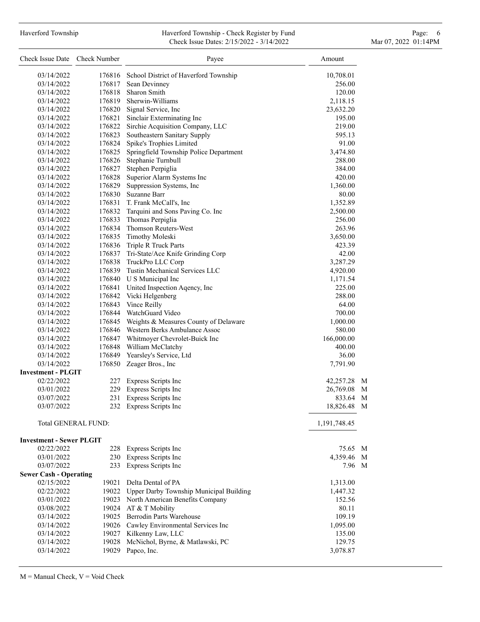# Haverford Township **Haverford Township - Check Register by Fund** Page: 6 Australian Page: 6 Australian Page: 6 Au Check Issue Dates: 2/15/2022 - 3/14/2022 Mar 07, 2022 01:14PM

| Check Issue Date Check Number   |                     | Payee                                                      | Amount          |
|---------------------------------|---------------------|------------------------------------------------------------|-----------------|
| 03/14/2022                      |                     | 176816 School District of Haverford Township               | 10,708.01       |
| 03/14/2022                      |                     | 176817 Sean Devinney                                       | 256.00          |
| 03/14/2022                      |                     | 176818 Sharon Smith                                        | 120.00          |
| 03/14/2022                      |                     | 176819 Sherwin-Williams                                    | 2,118.15        |
| 03/14/2022                      |                     | 176820 Signal Service, Inc                                 | 23,632.20       |
| 03/14/2022                      |                     | 176821 Sinclair Exterminating Inc                          | 195.00          |
| 03/14/2022                      |                     | 176822 Sirchie Acquisition Company, LLC                    | 219.00          |
| 03/14/2022                      |                     | 176823 Southeastern Sanitary Supply                        | 595.13          |
| 03/14/2022                      |                     | 176824 Spike's Trophies Limited                            | 91.00           |
| 03/14/2022                      |                     | 176825 Springfield Township Police Department              | 3,474.80        |
| 03/14/2022                      | 176826              | Stephanie Turnbull                                         | 288.00          |
| 03/14/2022                      | 176827              | Stephen Perpiglia                                          | 384.00          |
| 03/14/2022                      |                     | 176828 Superior Alarm Systems Inc                          | 420.00          |
| 03/14/2022                      |                     | 176829 Suppression Systems, Inc                            | 1,360.00        |
| 03/14/2022                      |                     | 176830 Suzanne Barr                                        | 80.00           |
| 03/14/2022                      |                     | 176831 T. Frank McCall's, Inc                              | 1,352.89        |
| 03/14/2022                      |                     | 176832 Tarquini and Sons Paving Co. Inc                    | 2,500.00        |
| 03/14/2022                      |                     | 176833 Thomas Perpiglia                                    | 256.00          |
| 03/14/2022                      |                     | 176834 Thomson Reuters-West                                | 263.96          |
| 03/14/2022                      |                     | 176835 Timothy Moleski                                     | 3,650.00        |
| 03/14/2022                      |                     | 176836 Triple R Truck Parts                                | 423.39          |
| 03/14/2022                      |                     | 176837 Tri-State/Ace Knife Grinding Corp                   | 42.00           |
| 03/14/2022                      |                     | 176838 TruckPro LLC Corp                                   | 3,287.29        |
| 03/14/2022                      |                     | 176839 Tustin Mechanical Services LLC                      | 4,920.00        |
| 03/14/2022                      |                     | 176840 U S Municipal Inc                                   | 1,171.54        |
| 03/14/2022                      |                     | 176841 United Inspection Aqency, Inc                       | 225.00          |
| 03/14/2022                      |                     | 176842 Vicki Helgenberg                                    | 288.00          |
| 03/14/2022                      |                     | 176843 Vince Reilly                                        | 64.00           |
| 03/14/2022                      |                     | 176844 WatchGuard Video                                    | 700.00          |
| 03/14/2022                      |                     | 176845 Weights & Measures County of Delaware               | 1,000.00        |
| 03/14/2022                      |                     | 176846 Western Berks Ambulance Assoc                       | 580.00          |
| 03/14/2022                      |                     | 176847 Whitmoyer Chevrolet-Buick Inc                       | 166,000.00      |
| 03/14/2022<br>03/14/2022        |                     | 176848 William McClatchy<br>176849 Yearsley's Service, Ltd | 400.00<br>36.00 |
| 03/14/2022                      |                     | 176850 Zeager Bros., Inc                                   |                 |
| <b>Investment - PLGIT</b>       |                     |                                                            | 7,791.90        |
| 02/22/2022                      | 227                 | Express Scripts Inc                                        | 42,257.28 M     |
| 03/01/2022                      |                     | 229 Express Scripts Inc                                    | 26,769.08 M     |
| 03/07/2022                      | 231                 | Express Scripts Inc                                        | 833.64 M        |
| 03/07/2022                      |                     | 232 Express Scripts Inc                                    | 18,826.48 M     |
|                                 | Total GENERAL FUND: |                                                            | 1,191,748.45    |
| <b>Investment - Sewer PLGIT</b> |                     |                                                            |                 |
| 02/22/2022                      |                     | 228 Express Scripts Inc                                    | 75.65 M         |
| 03/01/2022                      | 230                 | Express Scripts Inc                                        | 4,359.46 M      |
| 03/07/2022                      | 233                 | Express Scripts Inc                                        | 7.96 M          |
| <b>Sewer Cash - Operating</b>   |                     |                                                            |                 |
| 02/15/2022                      | 19021               | Delta Dental of PA                                         | 1,313.00        |
| 02/22/2022                      | 19022               | Upper Darby Township Municipal Building                    | 1,447.32        |
| 03/01/2022                      |                     | 19023 North American Benefits Company                      | 152.56          |
| 03/08/2022                      |                     | 19024 AT & T Mobility                                      | 80.11           |
| 03/14/2022                      |                     | 19025 Berrodin Parts Warehouse                             | 109.19          |
| 03/14/2022                      |                     | 19026 Cawley Environmental Services Inc                    | 1,095.00        |
| 03/14/2022                      |                     | 19027 Kilkenny Law, LLC                                    | 135.00          |
| 03/14/2022                      | 19028               | McNichol, Byrne, & Matlawski, PC                           | 129.75          |
| 03/14/2022                      | 19029               | Papco, Inc.                                                | 3,078.87        |